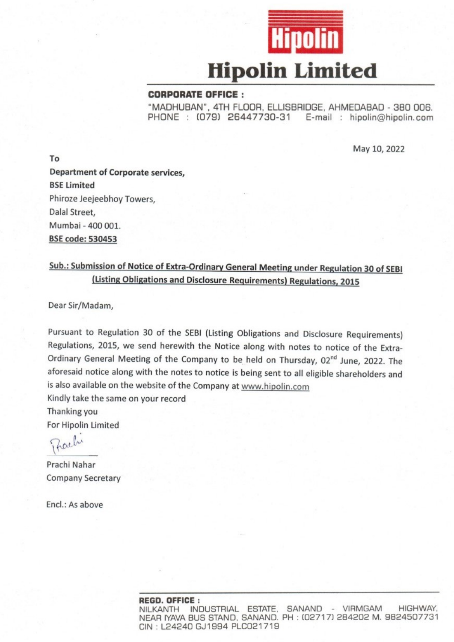

#### **CORPORATE OFFICE:**

"MADHUBAN", 4TH FLOOR, ELLISBRIDGE, AHMEDABAD - 380 006. PHONE: (079) 26447730-31 E-mail: hipolin@hipolin.com

May 10, 2022

To Department of Corporate services, **BSE Limited** Phiroze Jeejeebhov Towers. Dalal Street, Mumbai - 400 001. **BSE code: 530453** 

# Sub.: Submission of Notice of Extra-Ordinary General Meeting under Regulation 30 of SEBI (Listing Obligations and Disclosure Requirements) Regulations, 2015

Dear Sir/Madam.

Pursuant to Regulation 30 of the SEBI (Listing Obligations and Disclosure Requirements) Regulations, 2015, we send herewith the Notice along with notes to notice of the Extra-Ordinary General Meeting of the Company to be held on Thursday, 02<sup>nd</sup> June, 2022. The aforesaid notice along with the notes to notice is being sent to all eligible shareholders and is also available on the website of the Company at www.hipolin.com

Kindly take the same on your record

Thanking you For Hipolin Limited

Zachi

Prachi Nahar **Company Secretary** 

Encl.: As above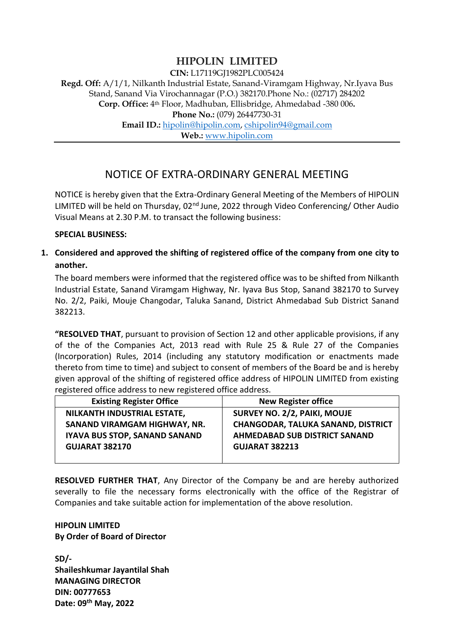## **HIPOLIN LIMITED**

**CIN:** L17119GJ1982PLC005424

**Regd. Off:** A/1/1, Nilkanth Industrial Estate, Sanand-Viramgam Highway, Nr.Iyava Bus Stand, Sanand Via Virochannagar (P.O.) 382170.Phone No.: (02717) 284202 **Corp. Office:** 4th Floor, Madhuban, Ellisbridge, Ahmedabad -380 006**. Phone No.: (079) 26447730-31 Email ID.:** [hipolin@hipolin.com,](mailto:hipolin@hipolin.com) [cshipolin94@gmail.com](mailto:cshipolin94@gmail.com)

**Web.:** [www.hipolin.com](http://www.hipolin.com/)

## NOTICE OF EXTRA-ORDINARY GENERAL MEETING

NOTICE is hereby given that the Extra-Ordinary General Meeting of the Members of HIPOLIN LIMITED will be held on Thursday, 02<sup>nd</sup> June, 2022 through Video Conferencing/ Other Audio Visual Means at 2.30 P.M. to transact the following business:

#### **SPECIAL BUSINESS:**

**1. Considered and approved the shifting of registered office of the company from one city to another.**

The board members were informed that the registered office was to be shifted from Nilkanth Industrial Estate, Sanand Viramgam Highway, Nr. Iyava Bus Stop, Sanand 382170 to Survey No. 2/2, Paiki, Mouje Changodar, Taluka Sanand, District Ahmedabad Sub District Sanand 382213.

**"RESOLVED THAT**, pursuant to provision of Section 12 and other applicable provisions, if any of the of the Companies Act, 2013 read with Rule 25 & Rule 27 of the Companies (Incorporation) Rules, 2014 (including any statutory modification or enactments made thereto from time to time) and subject to consent of members of the Board be and is hereby given approval of the shifting of registered office address of HIPOLIN LIMITED from existing registered office address to new registered office address.

| <b>Existing Register Office</b>      | <b>New Register office</b>                |
|--------------------------------------|-------------------------------------------|
| NILKANTH INDUSTRIAL ESTATE,          | <b>SURVEY NO. 2/2, PAIKI, MOUJE</b>       |
| SANAND VIRAMGAM HIGHWAY, NR.         | <b>CHANGODAR, TALUKA SANAND, DISTRICT</b> |
| <b>IYAVA BUS STOP, SANAND SANAND</b> | <b>AHMEDABAD SUB DISTRICT SANAND</b>      |
| <b>GUJARAT 382170</b>                | <b>GUJARAT 382213</b>                     |
|                                      |                                           |

**RESOLVED FURTHER THAT**, Any Director of the Company be and are hereby authorized severally to file the necessary forms electronically with the office of the Registrar of Companies and take suitable action for implementation of the above resolution.

### **HIPOLIN LIMITED By Order of Board of Director**

**SD/- Shaileshkumar Jayantilal Shah MANAGING DIRECTOR DIN: 00777653 Date: 09th May, 2022**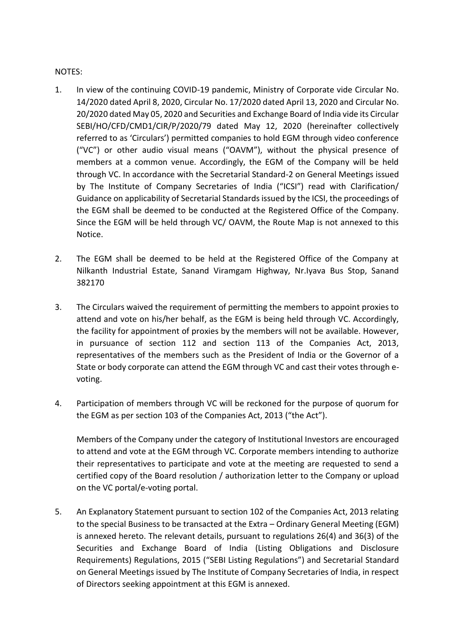#### NOTES:

- 1. In view of the continuing COVID-19 pandemic, Ministry of Corporate vide Circular No. 14/2020 dated April 8, 2020, Circular No. 17/2020 dated April 13, 2020 and Circular No. 20/2020 dated May 05, 2020 and Securities and Exchange Board of India vide its Circular SEBI/HO/CFD/CMD1/CIR/P/2020/79 dated May 12, 2020 (hereinafter collectively referred to as 'Circulars') permitted companies to hold EGM through video conference ("VC") or other audio visual means ("OAVM"), without the physical presence of members at a common venue. Accordingly, the EGM of the Company will be held through VC. In accordance with the Secretarial Standard-2 on General Meetings issued by The Institute of Company Secretaries of India ("ICSI") read with Clarification/ Guidance on applicability of Secretarial Standards issued by the ICSI, the proceedings of the EGM shall be deemed to be conducted at the Registered Office of the Company. Since the EGM will be held through VC/ OAVM, the Route Map is not annexed to this Notice.
- 2. The EGM shall be deemed to be held at the Registered Office of the Company at Nilkanth Industrial Estate, Sanand Viramgam Highway, Nr.Iyava Bus Stop, Sanand 382170
- 3. The Circulars waived the requirement of permitting the members to appoint proxies to attend and vote on his/her behalf, as the EGM is being held through VC. Accordingly, the facility for appointment of proxies by the members will not be available. However, in pursuance of section 112 and section 113 of the Companies Act, 2013, representatives of the members such as the President of India or the Governor of a State or body corporate can attend the EGM through VC and cast their votes through evoting.
- 4. Participation of members through VC will be reckoned for the purpose of quorum for the EGM as per section 103 of the Companies Act, 2013 ("the Act").

Members of the Company under the category of Institutional Investors are encouraged to attend and vote at the EGM through VC. Corporate members intending to authorize their representatives to participate and vote at the meeting are requested to send a certified copy of the Board resolution / authorization letter to the Company or upload on the VC portal/e-voting portal.

5. An Explanatory Statement pursuant to section 102 of the Companies Act, 2013 relating to the special Business to be transacted at the Extra – Ordinary General Meeting (EGM) is annexed hereto. The relevant details, pursuant to regulations 26(4) and 36(3) of the Securities and Exchange Board of India (Listing Obligations and Disclosure Requirements) Regulations, 2015 ("SEBI Listing Regulations") and Secretarial Standard on General Meetings issued by The Institute of Company Secretaries of India, in respect of Directors seeking appointment at this EGM is annexed.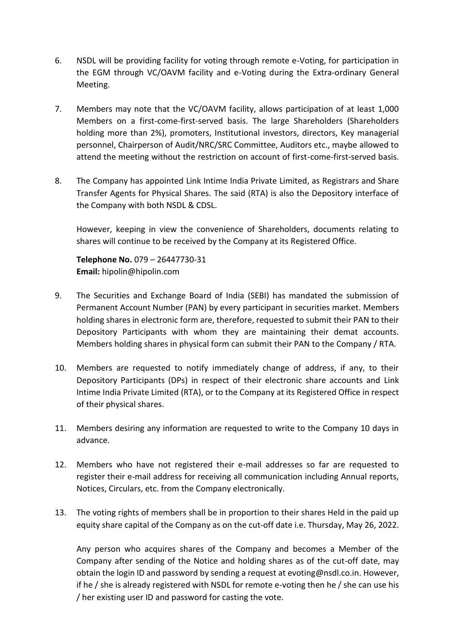- 6. NSDL will be providing facility for voting through remote e-Voting, for participation in the EGM through VC/OAVM facility and e-Voting during the Extra-ordinary General Meeting.
- 7. Members may note that the VC/OAVM facility, allows participation of at least 1,000 Members on a first-come-first-served basis. The large Shareholders (Shareholders holding more than 2%), promoters, Institutional investors, directors, Key managerial personnel, Chairperson of Audit/NRC/SRC Committee, Auditors etc., maybe allowed to attend the meeting without the restriction on account of first-come-first-served basis.
- 8. The Company has appointed Link Intime India Private Limited, as Registrars and Share Transfer Agents for Physical Shares. The said (RTA) is also the Depository interface of the Company with both NSDL & CDSL.

However, keeping in view the convenience of Shareholders, documents relating to shares will continue to be received by the Company at its Registered Office.

**Telephone No.** 079 – 26447730-31 **Email:** hipolin@hipolin.com

- 9. The Securities and Exchange Board of India (SEBI) has mandated the submission of Permanent Account Number (PAN) by every participant in securities market. Members holding shares in electronic form are, therefore, requested to submit their PAN to their Depository Participants with whom they are maintaining their demat accounts. Members holding shares in physical form can submit their PAN to the Company / RTA.
- 10. Members are requested to notify immediately change of address, if any, to their Depository Participants (DPs) in respect of their electronic share accounts and Link Intime India Private Limited (RTA), or to the Company at its Registered Office in respect of their physical shares.
- 11. Members desiring any information are requested to write to the Company 10 days in advance.
- 12. Members who have not registered their e-mail addresses so far are requested to register their e-mail address for receiving all communication including Annual reports, Notices, Circulars, etc. from the Company electronically.
- 13. The voting rights of members shall be in proportion to their shares Held in the paid up equity share capital of the Company as on the cut-off date i.e. Thursday, May 26, 2022.

Any person who acquires shares of the Company and becomes a Member of the Company after sending of the Notice and holding shares as of the cut-off date, may obtain the login ID and password by sending a request at evoting@nsdl.co.in. However, if he / she is already registered with NSDL for remote e-voting then he / she can use his / her existing user ID and password for casting the vote.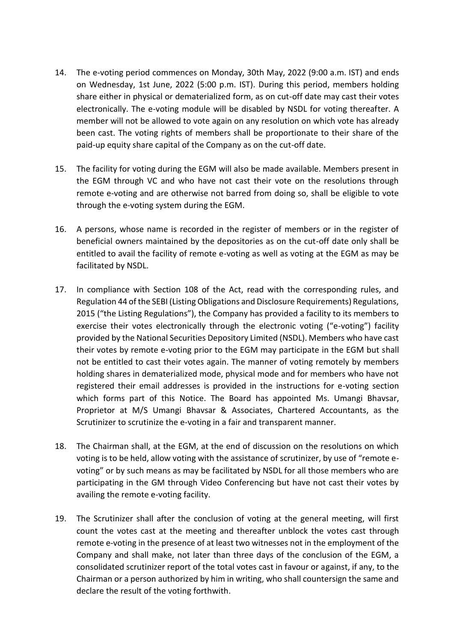- 14. The e-voting period commences on Monday, 30th May, 2022 (9:00 a.m. IST) and ends on Wednesday, 1st June, 2022 (5:00 p.m. IST). During this period, members holding share either in physical or dematerialized form, as on cut-off date may cast their votes electronically. The e-voting module will be disabled by NSDL for voting thereafter. A member will not be allowed to vote again on any resolution on which vote has already been cast. The voting rights of members shall be proportionate to their share of the paid-up equity share capital of the Company as on the cut-off date.
- 15. The facility for voting during the EGM will also be made available. Members present in the EGM through VC and who have not cast their vote on the resolutions through remote e-voting and are otherwise not barred from doing so, shall be eligible to vote through the e-voting system during the EGM.
- 16. A persons, whose name is recorded in the register of members or in the register of beneficial owners maintained by the depositories as on the cut-off date only shall be entitled to avail the facility of remote e-voting as well as voting at the EGM as may be facilitated by NSDL.
- 17. In compliance with Section 108 of the Act, read with the corresponding rules, and Regulation 44 of the SEBI (Listing Obligations and Disclosure Requirements) Regulations, 2015 ("the Listing Regulations"), the Company has provided a facility to its members to exercise their votes electronically through the electronic voting ("e-voting") facility provided by the National Securities Depository Limited (NSDL). Members who have cast their votes by remote e-voting prior to the EGM may participate in the EGM but shall not be entitled to cast their votes again. The manner of voting remotely by members holding shares in dematerialized mode, physical mode and for members who have not registered their email addresses is provided in the instructions for e-voting section which forms part of this Notice. The Board has appointed Ms. Umangi Bhavsar, Proprietor at M/S Umangi Bhavsar & Associates, Chartered Accountants, as the Scrutinizer to scrutinize the e-voting in a fair and transparent manner.
- 18. The Chairman shall, at the EGM, at the end of discussion on the resolutions on which voting is to be held, allow voting with the assistance of scrutinizer, by use of "remote evoting" or by such means as may be facilitated by NSDL for all those members who are participating in the GM through Video Conferencing but have not cast their votes by availing the remote e-voting facility.
- 19. The Scrutinizer shall after the conclusion of voting at the general meeting, will first count the votes cast at the meeting and thereafter unblock the votes cast through remote e-voting in the presence of at least two witnesses not in the employment of the Company and shall make, not later than three days of the conclusion of the EGM, a consolidated scrutinizer report of the total votes cast in favour or against, if any, to the Chairman or a person authorized by him in writing, who shall countersign the same and declare the result of the voting forthwith.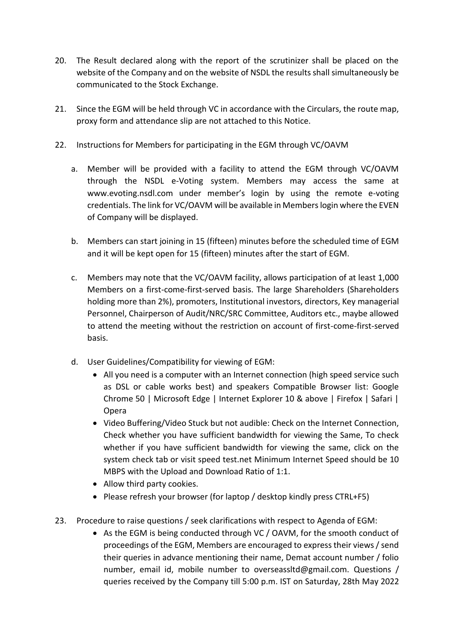- 20. The Result declared along with the report of the scrutinizer shall be placed on the website of the Company and on the website of NSDL the results shall simultaneously be communicated to the Stock Exchange.
- 21. Since the EGM will be held through VC in accordance with the Circulars, the route map, proxy form and attendance slip are not attached to this Notice.
- 22. Instructions for Members for participating in the EGM through VC/OAVM
	- a. Member will be provided with a facility to attend the EGM through VC/OAVM through the NSDL e-Voting system. Members may access the same at www.evoting.nsdl.com under member's login by using the remote e-voting credentials. The link for VC/OAVM will be available in Members login where the EVEN of Company will be displayed.
	- b. Members can start joining in 15 (fifteen) minutes before the scheduled time of EGM and it will be kept open for 15 (fifteen) minutes after the start of EGM.
	- c. Members may note that the VC/OAVM facility, allows participation of at least 1,000 Members on a first-come-first-served basis. The large Shareholders (Shareholders holding more than 2%), promoters, Institutional investors, directors, Key managerial Personnel, Chairperson of Audit/NRC/SRC Committee, Auditors etc., maybe allowed to attend the meeting without the restriction on account of first-come-first-served basis.
	- d. User Guidelines/Compatibility for viewing of EGM:
		- All you need is a computer with an Internet connection (high speed service such as DSL or cable works best) and speakers Compatible Browser list: Google Chrome 50 | Microsoft Edge | Internet Explorer 10 & above | Firefox | Safari | Opera
		- Video Buffering/Video Stuck but not audible: Check on the Internet Connection, Check whether you have sufficient bandwidth for viewing the Same, To check whether if you have sufficient bandwidth for viewing the same, click on the system check tab or visit speed test.net Minimum Internet Speed should be 10 MBPS with the Upload and Download Ratio of 1:1.
		- Allow third party cookies.
		- Please refresh your browser (for laptop / desktop kindly press CTRL+F5)
- 23. Procedure to raise questions / seek clarifications with respect to Agenda of EGM:
	- As the EGM is being conducted through VC / OAVM, for the smooth conduct of proceedings of the EGM, Members are encouraged to express their views / send their queries in advance mentioning their name, Demat account number / folio number, email id, mobile number to overseassltd@gmail.com. Questions / queries received by the Company till 5:00 p.m. IST on Saturday, 28th May 2022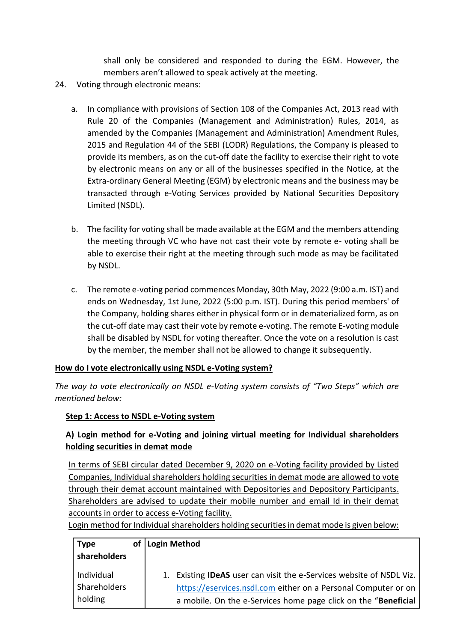shall only be considered and responded to during the EGM. However, the members aren't allowed to speak actively at the meeting.

- 24. Voting through electronic means:
	- a. In compliance with provisions of Section 108 of the Companies Act, 2013 read with Rule 20 of the Companies (Management and Administration) Rules, 2014, as amended by the Companies (Management and Administration) Amendment Rules, 2015 and Regulation 44 of the SEBI (LODR) Regulations, the Company is pleased to provide its members, as on the cut-off date the facility to exercise their right to vote by electronic means on any or all of the businesses specified in the Notice, at the Extra-ordinary General Meeting (EGM) by electronic means and the business may be transacted through e-Voting Services provided by National Securities Depository Limited (NSDL).
	- b. The facility for voting shall be made available at the EGM and the members attending the meeting through VC who have not cast their vote by remote e- voting shall be able to exercise their right at the meeting through such mode as may be facilitated by NSDL.
	- c. The remote e-voting period commences Monday, 30th May, 2022 (9:00 a.m. IST) and ends on Wednesday, 1st June, 2022 (5:00 p.m. IST). During this period members' of the Company, holding shares either in physical form or in dematerialized form, as on the cut-off date may cast their vote by remote e-voting. The remote E-voting module shall be disabled by NSDL for voting thereafter. Once the vote on a resolution is cast by the member, the member shall not be allowed to change it subsequently.

### **How do I vote electronically using NSDL e-Voting system?**

*The way to vote electronically on NSDL e-Voting system consists of "Two Steps" which are mentioned below:*

### **Step 1: Access to NSDL e-Voting system**

### **A) Login method for e-Voting and joining virtual meeting for Individual shareholders holding securities in demat mode**

In terms of SEBI circular dated December 9, 2020 on e-Voting facility provided by Listed Companies, Individual shareholders holding securities in demat mode are allowed to vote through their demat account maintained with Depositories and Depository Participants. Shareholders are advised to update their mobile number and email Id in their demat accounts in order to access e-Voting facility.

Login method for Individual shareholders holding securities in demat mode is given below:

| <b>Type</b>  | οf | Login Method                                                      |
|--------------|----|-------------------------------------------------------------------|
| shareholders |    |                                                                   |
| Individual   |    | Existing IDeAS user can visit the e-Services website of NSDL Viz. |
| Shareholders |    | https://eservices.nsdl.com either on a Personal Computer or on    |
| holding      |    | a mobile. On the e-Services home page click on the "Beneficial    |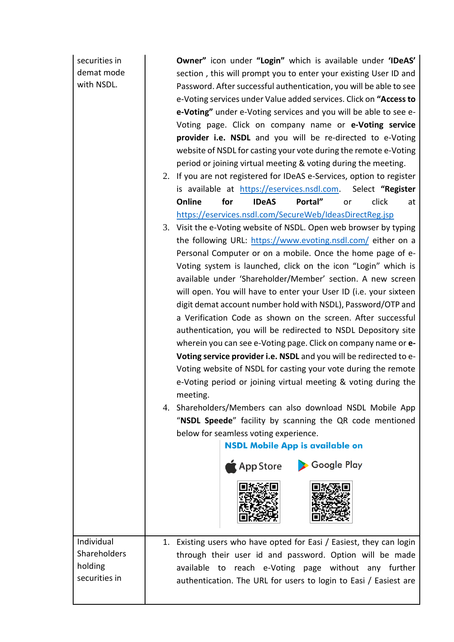securities in demat mode with NSDL.

holding

**Owner"** icon under **"Login"** which is available under **'IDeAS'** section , this will prompt you to enter your existing User ID and Password. After successful authentication, you will be able to see e-Voting services under Value added services. Click on **"Access to e-Voting"** under e-Voting services and you will be able to see e-Voting page. Click on company name or **e-Voting service provider i.e. NSDL** and you will be re-directed to e-Voting website of NSDL for casting your vote during the remote e-Voting period or joining virtual meeting & voting during the meeting.

- 2. If you are not registered for IDeAS e-Services, option to register is available at [https://eservices.nsdl.com.](https://eservices.nsdl.com/) Select **"Register Online for IDeAS Portal"** or click at <https://eservices.nsdl.com/SecureWeb/IdeasDirectReg.jsp>
- 3. Visit the e-Voting website of NSDL. Open web browser by typing the following URL:<https://www.evoting.nsdl.com/> either on a Personal Computer or on a mobile. Once the home page of e-Voting system is launched, click on the icon "Login" which is available under 'Shareholder/Member' section. A new screen will open. You will have to enter your User ID (i.e. your sixteen digit demat account number hold with NSDL), Password/OTP and a Verification Code as shown on the screen. After successful authentication, you will be redirected to NSDL Depository site wherein you can see e-Voting page. Click on company name or **e-Voting service provider i.e. NSDL** and you will be redirected to e-Voting website of NSDL for casting your vote during the remote e-Voting period or joining virtual meeting & voting during the meeting.
- 4. Shareholders/Members can also download NSDL Mobile App "**NSDL Speede**" facility by scanning the QR code mentioned below for seamless voting experience.

## **NSDL Mobile App is available on**





Individual Shareholders securities in 1. Existing users who have opted for Easi / Easiest, they can login through their user id and password. Option will be made available to reach e-Voting page without any further authentication. The URL for users to login to Easi / Easiest are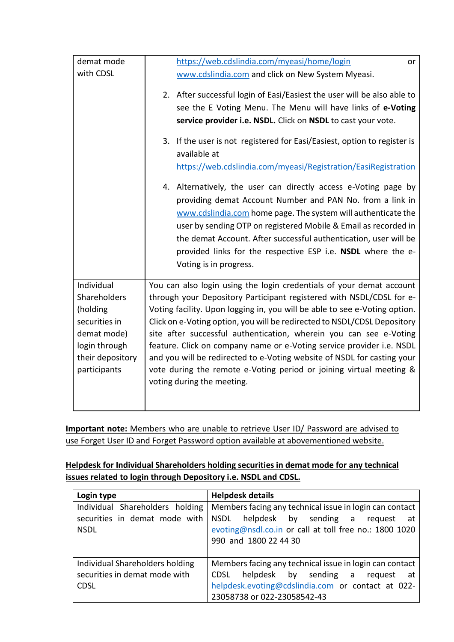| demat mode       | https://web.cdslindia.com/myeasi/home/login<br>or                                        |  |
|------------------|------------------------------------------------------------------------------------------|--|
| with CDSL        | www.cdslindia.com and click on New System Myeasi.                                        |  |
|                  | 2. After successful login of Easi/Easiest the user will be also able to                  |  |
|                  | see the E Voting Menu. The Menu will have links of e-Voting                              |  |
|                  | service provider i.e. NSDL. Click on NSDL to cast your vote.                             |  |
|                  | 3. If the user is not registered for Easi/Easiest, option to register is<br>available at |  |
|                  | https://web.cdslindia.com/myeasi/Registration/EasiRegistration                           |  |
|                  | 4. Alternatively, the user can directly access e-Voting page by                          |  |
|                  | providing demat Account Number and PAN No. from a link in                                |  |
|                  | www.cdslindia.com home page. The system will authenticate the                            |  |
|                  | user by sending OTP on registered Mobile & Email as recorded in                          |  |
|                  | the demat Account. After successful authentication, user will be                         |  |
|                  | provided links for the respective ESP i.e. NSDL where the e-                             |  |
|                  | Voting is in progress.                                                                   |  |
| Individual       | You can also login using the login credentials of your demat account                     |  |
| Shareholders     | through your Depository Participant registered with NSDL/CDSL for e-                     |  |
| (holding         | Voting facility. Upon logging in, you will be able to see e-Voting option.               |  |
| securities in    | Click on e-Voting option, you will be redirected to NSDL/CDSL Depository                 |  |
| demat mode)      | site after successful authentication, wherein you can see e-Voting                       |  |
| login through    | feature. Click on company name or e-Voting service provider i.e. NSDL                    |  |
| their depository | and you will be redirected to e-Voting website of NSDL for casting your                  |  |
| participants     | vote during the remote e-Voting period or joining virtual meeting &                      |  |
|                  | voting during the meeting.                                                               |  |
|                  |                                                                                          |  |

**Important note:** Members who are unable to retrieve User ID/ Password are advised to use Forget User ID and Forget Password option available at abovementioned website.

### **Helpdesk for Individual Shareholders holding securities in demat mode for any technical issues related to login through Depository i.e. NSDL and CDSL.**

| Login type                      | <b>Helpdesk details</b>                                 |
|---------------------------------|---------------------------------------------------------|
| Individual Shareholders holding | Members facing any technical issue in login can contact |
| securities in demat mode with   | NSDL helpdesk by sending a request<br>at at             |
| <b>NSDL</b>                     | evoting@nsdl.co.in or call at toll free no.: 1800 1020  |
|                                 | 990 and 1800 22 44 30                                   |
|                                 |                                                         |
| Individual Shareholders holding | Members facing any technical issue in login can contact |
| securities in demat mode with   | helpdesk by sending a request<br>CDSL<br>at a           |
| <b>CDSL</b>                     | helpdesk.evoting@cdslindia.com or contact at 022-       |
|                                 | 23058738 or 022-23058542-43                             |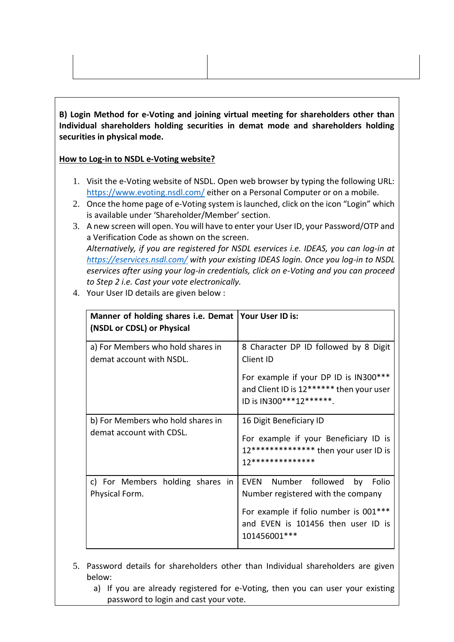**B) Login Method for e-Voting and joining virtual meeting for shareholders other than Individual shareholders holding securities in demat mode and shareholders holding securities in physical mode.**

#### **How to Log-in to NSDL e-Voting website?**

- 1. Visit the e-Voting website of NSDL. Open web browser by typing the following URL: <https://www.evoting.nsdl.com/> either on a Personal Computer or on a mobile.
- 2. Once the home page of e-Voting system is launched, click on the icon "Login" which is available under 'Shareholder/Member' section.
- 3. A new screen will open. You will have to enter your User ID, your Password/OTP and a Verification Code as shown on the screen. *Alternatively, if you are registered for NSDL eservices i.e. IDEAS, you can log-in at <https://eservices.nsdl.com/> with your existing IDEAS login. Once you log-in to NSDL eservices after using your log-in credentials, click on e-Voting and you can proceed to Step 2 i.e. Cast your vote electronically.*
- 4. Your User ID details are given below :

| Manner of holding shares i.e. Demat   Your User ID is:        |                                                                                                                                                                           |
|---------------------------------------------------------------|---------------------------------------------------------------------------------------------------------------------------------------------------------------------------|
| (NSDL or CDSL) or Physical                                    |                                                                                                                                                                           |
| a) For Members who hold shares in<br>demat account with NSDL. | 8 Character DP ID followed by 8 Digit<br>Client ID                                                                                                                        |
|                                                               | For example if your DP ID is IN300***<br>and Client ID is 12****** then your user<br>ID is IN300***12*******.                                                             |
| b) For Members who hold shares in<br>demat account with CDSL. | 16 Digit Beneficiary ID<br>For example if your Beneficiary ID is<br>12************** then your user ID is<br>17**************                                             |
| c) For Members holding shares in<br>Physical Form.            | EVEN Number followed<br>by<br>Folio<br>Number registered with the company<br>For example if folio number is 001***<br>and EVEN is 101456 then user ID is<br>101456001 *** |

- 5. Password details for shareholders other than Individual shareholders are given below:
	- a) If you are already registered for e-Voting, then you can user your existing password to login and cast your vote.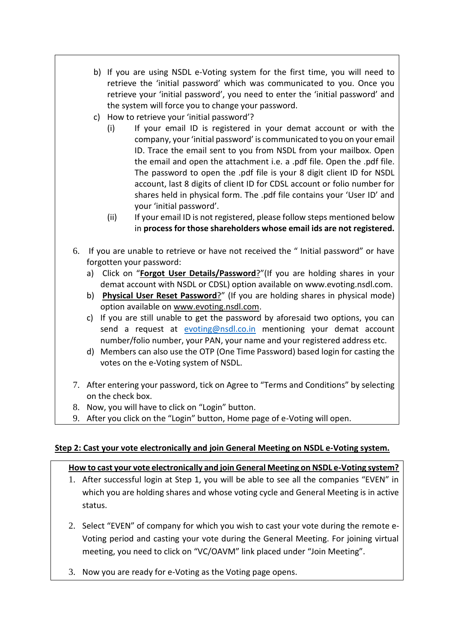- b) If you are using NSDL e-Voting system for the first time, you will need to retrieve the 'initial password' which was communicated to you. Once you retrieve your 'initial password', you need to enter the 'initial password' and the system will force you to change your password.
- c) How to retrieve your 'initial password'?
	- (i) If your email ID is registered in your demat account or with the company, your 'initial password' is communicated to you on your email ID. Trace the email sent to you from NSDL from your mailbox. Open the email and open the attachment i.e. a .pdf file. Open the .pdf file. The password to open the .pdf file is your 8 digit client ID for NSDL account, last 8 digits of client ID for CDSL account or folio number for shares held in physical form. The .pdf file contains your 'User ID' and your 'initial password'.
	- (ii) If your email ID is not registered, please follow steps mentioned below in **process for those shareholders whose email ids are not registered.**
- 6. If you are unable to retrieve or have not received the " Initial password" or have forgotten your password:
	- a) Click on "**[Forgot User Details/Password](https://www.evoting.nsdl.com/eVotingWeb/commonhtmls/NewUser.jsp)**?"(If you are holding shares in your demat account with NSDL or CDSL) option available on www.evoting.nsdl.com.
	- b) **[Physical User Reset Password](https://www.evoting.nsdl.com/eVotingWeb/commonhtmls/PhysicalUser.jsp)**?" (If you are holding shares in physical mode) option available on [www.evoting.nsdl.com.](http://www.evoting.nsdl.com/)
	- c) If you are still unable to get the password by aforesaid two options, you can send a request at [evoting@nsdl.co.in](mailto:evoting@nsdl.co.in) mentioning your demat account number/folio number, your PAN, your name and your registered address etc.
	- d) Members can also use the OTP (One Time Password) based login for casting the votes on the e-Voting system of NSDL.
- 7. After entering your password, tick on Agree to "Terms and Conditions" by selecting on the check box.
- 8. Now, you will have to click on "Login" button.
- 9. After you click on the "Login" button, Home page of e-Voting will open.

### **Step 2: Cast your vote electronically and join General Meeting on NSDL e-Voting system.**

## **How to cast your vote electronically and join General Meeting on NSDL e-Voting system?**

- 1. After successful login at Step 1, you will be able to see all the companies "EVEN" in which you are holding shares and whose voting cycle and General Meeting is in active status.
- 2. Select "EVEN" of company for which you wish to cast your vote during the remote e-Voting period and casting your vote during the General Meeting. For joining virtual meeting, you need to click on "VC/OAVM" link placed under "Join Meeting".
- 3. Now you are ready for e-Voting as the Voting page opens.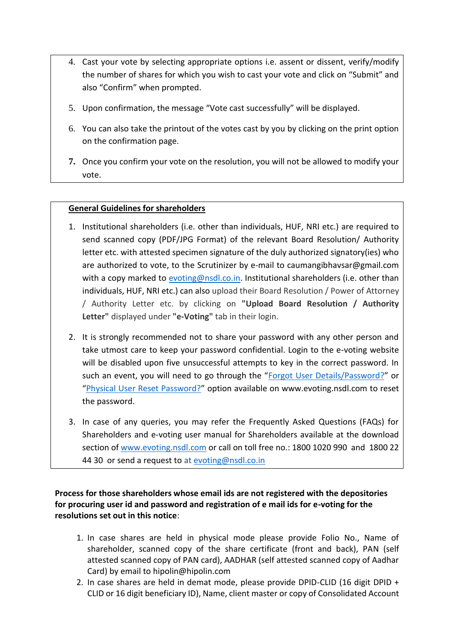- 4. Cast your vote by selecting appropriate options i.e. assent or dissent, verify/modify the number of shares for which you wish to cast your vote and click on "Submit" and also "Confirm" when prompted.
- 5. Upon confirmation, the message "Vote cast successfully" will be displayed.
- 6. You can also take the printout of the votes cast by you by clicking on the print option on the confirmation page.
- **7.** Once you confirm your vote on the resolution, you will not be allowed to modify your vote.

#### **General Guidelines for shareholders**

- 1. Institutional shareholders (i.e. other than individuals, HUF, NRI etc.) are required to send scanned copy (PDF/JPG Format) of the relevant Board Resolution/ Authority letter etc. with attested specimen signature of the duly authorized signatory(ies) who are authorized to vote, to the Scrutinizer by e-mail to caumangibhavsar@gmail.com with a copy marked to  $evoting@nsdl.co.in.$  Institutional shareholders (i.e. other than individuals, HUF, NRI etc.) can also upload their Board Resolution / Power of Attorney / Authority Letter etc. by clicking on **"Upload Board Resolution / Authority Letter"** displayed under **"e-Voting"** tab in their login.
- 2. It is strongly recommended not to share your password with any other person and take utmost care to keep your password confidential. Login to the e-voting website will be disabled upon five unsuccessful attempts to key in the correct password. In such an event, you will need to go through the "[Forgot User Details/Password?](https://www.evoting.nsdl.com/eVotingWeb/commonhtmls/NewUser.jsp)" or "[Physical User Reset Password?](https://www.evoting.nsdl.com/eVotingWeb/commonhtmls/PhysicalUser.jsp)" option available on www.evoting.nsdl.com to reset the password.
- 3. In case of any queries, you may refer the Frequently Asked Questions (FAQs) for Shareholders and e-voting user manual for Shareholders available at the download section of [www.evoting.nsdl.com](http://www.evoting.nsdl.com/) or call on toll free no.: 1800 1020 990 and 1800 22 44 30 or send a request to at [evoting@nsdl.co.in](mailto:evoting@nsdl.co.in)

### **Process for those shareholders whose email ids are not registered with the depositories for procuring user id and password and registration of e mail ids for e-voting for the resolutions set out in this notice**:

- 1. In case shares are held in physical mode please provide Folio No., Name of shareholder, scanned copy of the share certificate (front and back), PAN (self attested scanned copy of PAN card), AADHAR (self attested scanned copy of Aadhar Card) by email to hipolin@hipolin.com
- 2. In case shares are held in demat mode, please provide DPID-CLID (16 digit DPID + CLID or 16 digit beneficiary ID), Name, client master or copy of Consolidated Account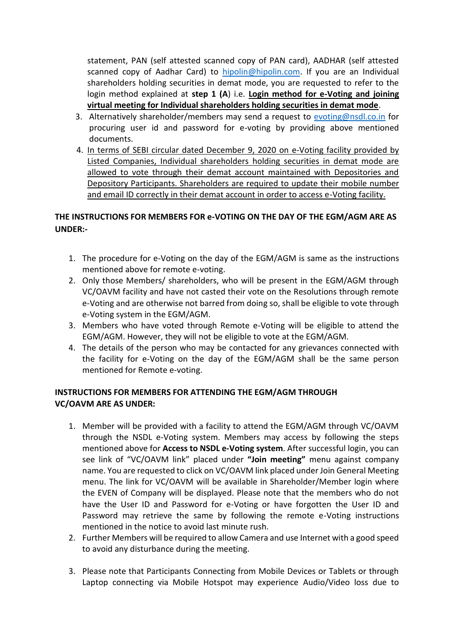statement, PAN (self attested scanned copy of PAN card), AADHAR (self attested scanned copy of Aadhar Card) to [hipolin@hipolin.com.](mailto:hipolin@hipolin.com) If you are an Individual shareholders holding securities in demat mode, you are requested to refer to the login method explained at **step 1 (A**) i.e. **Login method for e-Voting and joining virtual meeting for Individual shareholders holding securities in demat mode**.

- 3. Alternatively shareholder/members may send a request to [evoting@nsdl.co.in](mailto:evoting@nsdl.co.in) for procuring user id and password for e-voting by providing above mentioned documents.
- 4. In terms of SEBI circular dated December 9, 2020 on e-Voting facility provided by Listed Companies, Individual shareholders holding securities in demat mode are allowed to vote through their demat account maintained with Depositories and Depository Participants. Shareholders are required to update their mobile number and email ID correctly in their demat account in order to access e-Voting facility.

### **THE INSTRUCTIONS FOR MEMBERS FOR e-VOTING ON THE DAY OF THE EGM/AGM ARE AS UNDER:-**

- 1. The procedure for e-Voting on the day of the EGM/AGM is same as the instructions mentioned above for remote e-voting.
- 2. Only those Members/ shareholders, who will be present in the EGM/AGM through VC/OAVM facility and have not casted their vote on the Resolutions through remote e-Voting and are otherwise not barred from doing so, shall be eligible to vote through e-Voting system in the EGM/AGM.
- 3. Members who have voted through Remote e-Voting will be eligible to attend the EGM/AGM. However, they will not be eligible to vote at the EGM/AGM.
- 4. The details of the person who may be contacted for any grievances connected with the facility for e-Voting on the day of the EGM/AGM shall be the same person mentioned for Remote e-voting.

### **INSTRUCTIONS FOR MEMBERS FOR ATTENDING THE EGM/AGM THROUGH VC/OAVM ARE AS UNDER:**

- 1. Member will be provided with a facility to attend the EGM/AGM through VC/OAVM through the NSDL e-Voting system. Members may access by following the steps mentioned above for **Access to NSDL e-Voting system**. After successful login, you can see link of "VC/OAVM link" placed under **"Join meeting"** menu against company name. You are requested to click on VC/OAVM link placed under Join General Meeting menu. The link for VC/OAVM will be available in Shareholder/Member login where the EVEN of Company will be displayed. Please note that the members who do not have the User ID and Password for e-Voting or have forgotten the User ID and Password may retrieve the same by following the remote e-Voting instructions mentioned in the notice to avoid last minute rush.
- 2. Further Members will be required to allow Camera and use Internet with a good speed to avoid any disturbance during the meeting.
- 3. Please note that Participants Connecting from Mobile Devices or Tablets or through Laptop connecting via Mobile Hotspot may experience Audio/Video loss due to